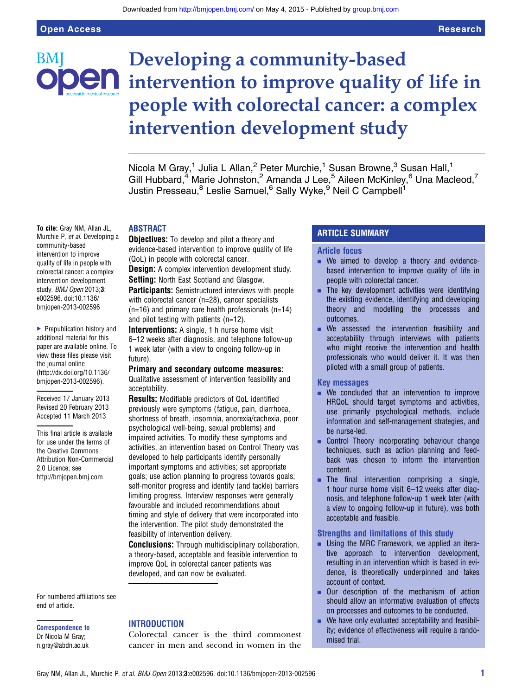To cite: Gray NM, Allan JL,

▶ Prepublication history and additional material for this paper are available online. To view these files please visit the journal online [\(http://dx.doi.org/10.1136/](http://dx.doi.org/10.1136/bmjopen-2013-002596) [bmjopen-2013-002596](http://dx.doi.org/10.1136/bmjopen-2013-002596)). Received 17 January 2013 Revised 20 February 2013 Accepted 11 March 2013 This final article is available for use under the terms of the Creative Commons Attribution Non-Commercial

community-based intervention to improve quality of life in people with colorectal cancer: a complex intervention development study. BMJ Open 2013;3: e002596. doi:10.1136/ bmjopen-2013-002596

# Developing a community-based **Intervention to improve quality of life in** people with colorectal cancer: a complex intervention development study

Nicola M Gray,<sup>1</sup> Julia L Allan,<sup>2</sup> Peter Murchie,<sup>1</sup> Susan Browne,<sup>3</sup> Susan Hall,<sup>1</sup> Gill Hubbard,<sup>4</sup> Marie Johnston,<sup>2</sup> Amanda J Lee,<sup>5</sup> Aileen McKinley,<sup>6</sup> Una Macleod,<sup>7</sup> Justin Presseau,<sup>8</sup> Leslie Samuel,<sup>6</sup> Sally Wyke,<sup>9</sup> Neil C Campbell<sup>1</sup>

#### Murchie P, et al. Developing a ABSTRACT

**Objectives:** To develop and pilot a theory and evidence-based intervention to improve quality of life (QoL) in people with colorectal cancer.

**Design:** A complex intervention development study. Setting: North East Scotland and Glasgow.

Participants: Semistructured interviews with people with colorectal cancer (n=28), cancer specialists (n=16) and primary care health professionals (n=14) and pilot testing with patients (n=12).

Interventions: A single, 1 h nurse home visit 6–12 weeks after diagnosis, and telephone follow-up 1 week later (with a view to ongoing follow-up in future).

## Primary and secondary outcome measures:

Qualitative assessment of intervention feasibility and acceptability.

Results: Modifiable predictors of QoL identified previously were symptoms (fatigue, pain, diarrhoea, shortness of breath, insomnia, anorexia/cachexia, poor psychological well-being, sexual problems) and impaired activities. To modify these symptoms and activities, an intervention based on Control Theory was developed to help participants identify personally important symptoms and activities; set appropriate goals; use action planning to progress towards goals; self-monitor progress and identify (and tackle) barriers limiting progress. Interview responses were generally favourable and included recommendations about timing and style of delivery that were incorporated into the intervention. The pilot study demonstrated the feasibility of intervention delivery.

**Conclusions:** Through multidisciplinary collaboration, a theory-based, acceptable and feasible intervention to improve QoL in colorectal cancer patients was developed, and can now be evaluated.

For numbered affiliations see end of article.

Correspondence to Dr Nicola M Gray; n.gray@abdn.ac.uk

2.0 Licence; see <http://bmjopen.bmj.com>

## INTRODUCTION

Colorectal cancer is the third commonest cancer in men and second in women in the

# ARTICLE SUMMARY

## Article focus

- We aimed to develop a theory and evidencebased intervention to improve quality of life in people with colorectal cancer.
- $\blacksquare$  The key development activities were identifying the existing evidence, identifying and developing theory and modelling the processes and outcomes.
- $\blacksquare$  We assessed the intervention feasibility and acceptability through interviews with patients who might receive the intervention and health professionals who would deliver it. It was then piloted with a small group of patients.

#### Key messages

- $\blacksquare$  We concluded that an intervention to improve HRQoL should target symptoms and activities, use primarily psychological methods, include information and self-management strategies, and be nurse-led.
- Control Theory incorporating behaviour change techniques, such as action planning and feedback was chosen to inform the intervention content.
- The final intervention comprising a single, 1 hour nurse home visit 6–12 weeks after diagnosis, and telephone follow-up 1 week later (with a view to ongoing follow-up in future), was both acceptable and feasible.

## Strengths and limitations of this study

- **EXECUTE:** Using the MRC Framework, we applied an iterative approach to intervention development, resulting in an intervention which is based in evidence, is theoretically underpinned and takes account of context.
- Our description of the mechanism of action should allow an informative evaluation of effects on processes and outcomes to be conducted.
- We have only evaluated acceptability and feasibility; evidence of effectiveness will require a randomised trial.

Gray NM, Allan JL, Murchie P, et al. BMJ Open 2013;3:e002596. doi:10.1136/bmjopen-2013-002596 1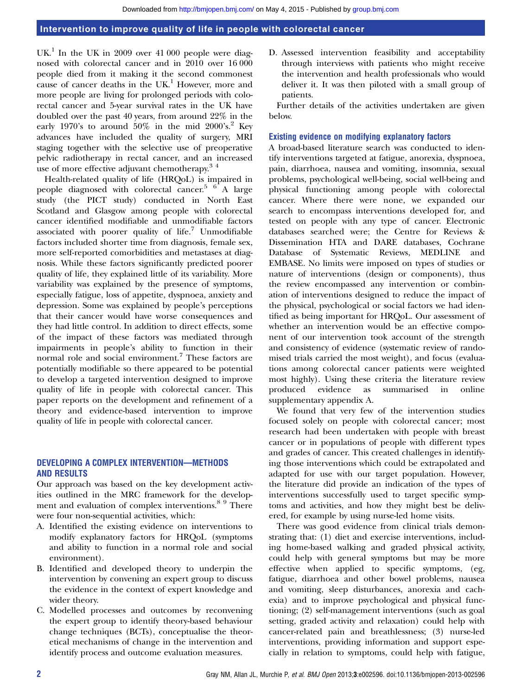UK.<sup>1</sup> In the UK in 2009 over 41 000 people were diagnosed with colorectal cancer and in 2010 over 16 000 people died from it making it the second commonest cause of cancer deaths in the  $UK<sup>1</sup>$  However, more and more people are living for prolonged periods with colorectal cancer and 5-year survival rates in the UK have doubled over the past 40 years, from around 22% in the early 1970's to around  $50\%$  in the mid  $2000\text{'s}$ .<sup>2</sup> Key advances have included the quality of surgery, MRI staging together with the selective use of preoperative pelvic radiotherapy in rectal cancer, and an increased use of more effective adjuvant chemotherapy.<sup>34</sup>

Health-related quality of life (HRQoL) is impaired in people diagnosed with colorectal cancer.<sup>5  $6$ </sup> A large study (the PICT study) conducted in North East Scotland and Glasgow among people with colorectal cancer identified modifiable and unmodifiable factors associated with poorer quality of life.<sup>7</sup> Unmodifiable factors included shorter time from diagnosis, female sex, more self-reported comorbidities and metastases at diagnosis. While these factors significantly predicted poorer quality of life, they explained little of its variability. More variability was explained by the presence of symptoms, especially fatigue, loss of appetite, dyspnoea, anxiety and depression. Some was explained by people's perceptions that their cancer would have worse consequences and they had little control. In addition to direct effects, some of the impact of these factors was mediated through impairments in people's ability to function in their normal role and social environment.<sup>7</sup> These factors are potentially modifiable so there appeared to be potential to develop a targeted intervention designed to improve quality of life in people with colorectal cancer. This paper reports on the development and refinement of a theory and evidence-based intervention to improve quality of life in people with colorectal cancer.

## DEVELOPING A COMPLEX INTERVENTION—METHODS AND RESULTS

Our approach was based on the key development activities outlined in the MRC framework for the development and evaluation of complex interventions.<sup>8 9</sup> There were four non-sequential activities, which:

- A. Identified the existing evidence on interventions to modify explanatory factors for HRQoL (symptoms and ability to function in a normal role and social environment).
- B. Identified and developed theory to underpin the intervention by convening an expert group to discuss the evidence in the context of expert knowledge and wider theory.
- C. Modelled processes and outcomes by reconvening the expert group to identify theory-based behaviour change techniques (BCTs), conceptualise the theoretical mechanisms of change in the intervention and identify process and outcome evaluation measures.

D. Assessed intervention feasibility and acceptability through interviews with patients who might receive the intervention and health professionals who would deliver it. It was then piloted with a small group of patients.

Further details of the activities undertaken are given below.

## Existing evidence on modifying explanatory factors

A broad-based literature search was conducted to identify interventions targeted at fatigue, anorexia, dyspnoea, pain, diarrhoea, nausea and vomiting, insomnia, sexual problems, psychological well-being, social well-being and physical functioning among people with colorectal cancer. Where there were none, we expanded our search to encompass interventions developed for, and tested on people with any type of cancer. Electronic databases searched were; the Centre for Reviews & Dissemination HTA and DARE databases, Cochrane Database of Systematic Reviews, MEDLINE and EMBASE. No limits were imposed on types of studies or nature of interventions (design or components), thus the review encompassed any intervention or combination of interventions designed to reduce the impact of the physical, psychological or social factors we had identified as being important for HRQoL. Our assessment of whether an intervention would be an effective component of our intervention took account of the strength and consistency of evidence (systematic review of randomised trials carried the most weight), and focus (evaluations among colorectal cancer patients were weighted most highly). Using these criteria the literature review produced evidence as summarised in online [supplementary appendix](http://bmjopen.bmj.com/lookup/suppl/doi:10.1136/bmjopen-2013-002596/-/DC1) A.

We found that very few of the intervention studies focused solely on people with colorectal cancer; most research had been undertaken with people with breast cancer or in populations of people with different types and grades of cancer. This created challenges in identifying those interventions which could be extrapolated and adapted for use with our target population. However, the literature did provide an indication of the types of interventions successfully used to target specific symptoms and activities, and how they might best be delivered, for example by using nurse-led home visits.

There was good evidence from clinical trials demonstrating that: (1) diet and exercise interventions, including home-based walking and graded physical activity, could help with general symptoms but may be more effective when applied to specific symptoms, (eg, fatigue, diarrhoea and other bowel problems, nausea and vomiting, sleep disturbances, anorexia and cachexia) and to improve psychological and physical functioning; (2) self-management interventions (such as goal setting, graded activity and relaxation) could help with cancer-related pain and breathlessness; (3) nurse-led interventions, providing information and support especially in relation to symptoms, could help with fatigue,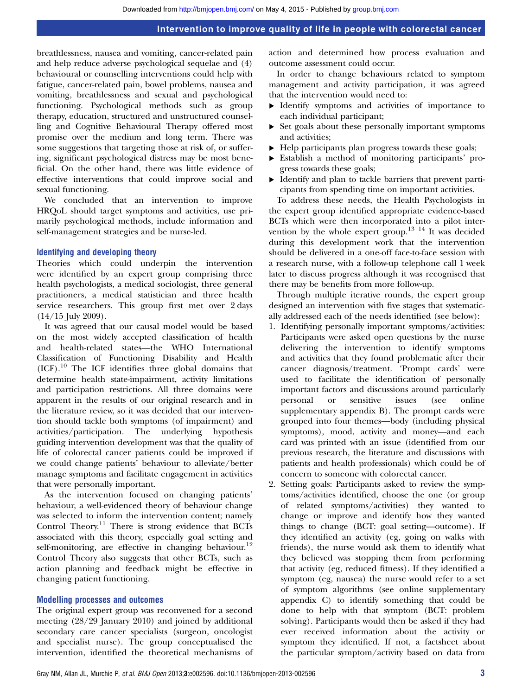breathlessness, nausea and vomiting, cancer-related pain and help reduce adverse psychological sequelae and (4) behavioural or counselling interventions could help with fatigue, cancer-related pain, bowel problems, nausea and vomiting, breathlessness and sexual and psychological functioning. Psychological methods such as group therapy, education, structured and unstructured counselling and Cognitive Behavioural Therapy offered most promise over the medium and long term. There was some suggestions that targeting those at risk of, or suffering, significant psychological distress may be most beneficial. On the other hand, there was little evidence of effective interventions that could improve social and sexual functioning.

We concluded that an intervention to improve HRQoL should target symptoms and activities, use primarily psychological methods, include information and self-management strategies and be nurse-led.

## Identifying and developing theory

Theories which could underpin the intervention were identified by an expert group comprising three health psychologists, a medical sociologist, three general practitioners, a medical statistician and three health service researchers. This group first met over 2 days (14/15 July 2009).

It was agreed that our causal model would be based on the most widely accepted classification of health and health-related states—the WHO International Classification of Functioning Disability and Health  $(ICF).<sup>10</sup>$  The ICF identifies three global domains that determine health state-impairment, activity limitations and participation restrictions. All three domains were apparent in the results of our original research and in the literature review, so it was decided that our intervention should tackle both symptoms (of impairment) and activities/participation. The underlying hypothesis guiding intervention development was that the quality of life of colorectal cancer patients could be improved if we could change patients' behaviour to alleviate/better manage symptoms and facilitate engagement in activities that were personally important.

As the intervention focused on changing patients' behaviour, a well-evidenced theory of behaviour change was selected to inform the intervention content; namely Control Theory.<sup>11</sup> There is strong evidence that BCTs associated with this theory, especially goal setting and self-monitoring, are effective in changing behaviour.<sup>12</sup> Control Theory also suggests that other BCTs, such as action planning and feedback might be effective in changing patient functioning.

## Modelling processes and outcomes

The original expert group was reconvened for a second meeting (28/29 January 2010) and joined by additional secondary care cancer specialists (surgeon, oncologist and specialist nurse). The group conceptualised the intervention, identified the theoretical mechanisms of action and determined how process evaluation and outcome assessment could occur.

In order to change behaviours related to symptom management and activity participation, it was agreed that the intervention would need to:

- ▸ Identify symptoms and activities of importance to each individual participant;
- ▸ Set goals about these personally important symptoms and activities;
- ▸ Help participants plan progress towards these goals;
- ▸ Establish a method of monitoring participants' progress towards these goals;
- ▸ Identify and plan to tackle barriers that prevent participants from spending time on important activities.

To address these needs, the Health Psychologists in the expert group identified appropriate evidence-based BCTs which were then incorporated into a pilot intervention by the whole expert group.<sup>13 14</sup> It was decided during this development work that the intervention should be delivered in a one-off face-to-face session with a research nurse, with a follow-up telephone call 1 week later to discuss progress although it was recognised that there may be benefits from more follow-up.

Through multiple iterative rounds, the expert group designed an intervention with five stages that systematically addressed each of the needs identified (see below):

- 1. Identifying personally important symptoms/activities: Participants were asked open questions by the nurse delivering the intervention to identify symptoms and activities that they found problematic after their cancer diagnosis/treatment. 'Prompt cards' were used to facilitate the identification of personally important factors and discussions around particularly personal or sensitive issues (see online [supplementary appendix](http://publications.cancerresearchuk.org/cancerstats/statsbowel/keyfactsbowel.html) B). The prompt cards were grouped into four themes—body (including physical symptoms), mood, activity and money—and each card was printed with an issue (identified from our previous research, the literature and discussions with patients and health professionals) which could be of concern to someone with colorectal cancer.
- 2. Setting goals: Participants asked to review the symptoms/activities identified, choose the one (or group of related symptoms/activities) they wanted to change or improve and identify how they wanted things to change (BCT: goal setting—outcome). If they identified an activity (eg, going on walks with friends), the nurse would ask them to identify what they believed was stopping them from performing that activity (eg, reduced fitness). If they identified a symptom (eg, nausea) the nurse would refer to a set of symptom algorithms (see online [supplementary](http://www.cancerresearchuk.org/cancer-info/cancerstats/survival/siteandsex/) [appendix](http://www.cancerresearchuk.org/cancer-info/cancerstats/survival/siteandsex/) C) to identify something that could be done to help with that symptom (BCT: problem solving). Participants would then be asked if they had ever received information about the activity or symptom they identified. If not, a factsheet about the particular symptom/activity based on data from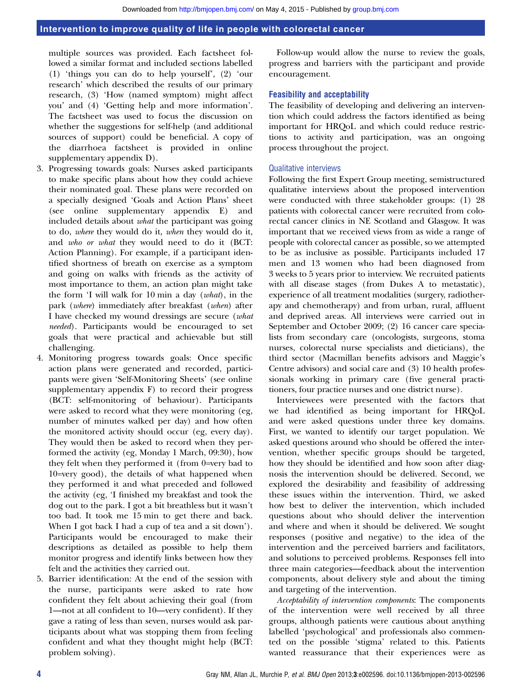multiple sources was provided. Each factsheet followed a similar format and included sections labelled (1) 'things you can do to help yourself', (2) 'our research' which described the results of our primary research, (3) 'How (named symptom) might affect you' and (4) 'Getting help and more information'. The factsheet was used to focus the discussion on whether the suggestions for self-help (and additional sources of support) could be beneficial. A copy of the diarrhoea factsheet is provided in online [supplementary appendix](http://www.sign.ac.uk) D).

- 3. Progressing towards goals: Nurses asked participants to make specific plans about how they could achieve their nominated goal. These plans were recorded on a specially designed 'Goals and Action Plans' sheet (see online [supplementary appendix](http://www.nice.org.uk) E) and included details about what the participant was going to do, where they would do it, when they would do it, and who or what they would need to do it (BCT: Action Planning). For example, if a participant identified shortness of breath on exercise as a symptom and going on walks with friends as the activity of most importance to them, an action plan might take the form 'I will walk for 10 min a day (what), in the park (where) immediately after breakfast (when) after I have checked my wound dressings are secure (what needed). Participants would be encouraged to set goals that were practical and achievable but still challenging.
- 4. Monitoring progress towards goals: Once specific action plans were generated and recorded, participants were given 'Self-Monitoring Sheets' (see online [supplementary appendix](http://www.who.int/classifications/icf/en/) F) to record their progress (BCT: self-monitoring of behaviour). Participants were asked to record what they were monitoring (eg, number of minutes walked per day) and how often the monitored activity should occur (eg, every day). They would then be asked to record when they performed the activity (eg, Monday 1 March, 09:30), how they felt when they performed it (from 0=very bad to 10=very good), the details of what happened when they performed it and what preceded and followed the activity (eg, 'I finished my breakfast and took the dog out to the park. I got a bit breathless but it wasn't too bad. It took me 15 min to get there and back. When I got back I had a cup of tea and a sit down'). Participants would be encouraged to make their descriptions as detailed as possible to help them monitor progress and identify links between how they felt and the activities they carried out.
- 5. Barrier identification: At the end of the session with the nurse, participants were asked to rate how confident they felt about achieving their goal (from 1—not at all confident to 10—very confident). If they gave a rating of less than seven, nurses would ask participants about what was stopping them from feeling confident and what they thought might help (BCT: problem solving).

Follow-up would allow the nurse to review the goals, progress and barriers with the participant and provide encouragement.

## Feasibility and acceptability

The feasibility of developing and delivering an intervention which could address the factors identified as being important for HRQoL and which could reduce restrictions to activity and participation, was an ongoing process throughout the project.

## Qualitative interviews

Following the first Expert Group meeting, semistructured qualitative interviews about the proposed intervention were conducted with three stakeholder groups: (1) 28 patients with colorectal cancer were recruited from colorectal cancer clinics in NE Scotland and Glasgow. It was important that we received views from as wide a range of people with colorectal cancer as possible, so we attempted to be as inclusive as possible. Participants included 17 men and 13 women who had been diagnosed from 3 weeks to 5 years prior to interview. We recruited patients with all disease stages (from Dukes A to metastatic), experience of all treatment modalities (surgery, radiotherapy and chemotherapy) and from urban, rural, affluent and deprived areas. All interviews were carried out in September and October 2009; (2) 16 cancer care specialists from secondary care (oncologists, surgeons, stoma nurses, colorectal nurse specialists and dieticians), the third sector (Macmillan benefits advisors and Maggie's Centre advisors) and social care and (3) 10 health professionals working in primary care (five general practitioners, four practice nurses and one district nurse).

Interviewees were presented with the factors that we had identified as being important for HRQoL and were asked questions under three key domains. First, we wanted to identify our target population. We asked questions around who should be offered the intervention, whether specific groups should be targeted, how they should be identified and how soon after diagnosis the intervention should be delivered. Second, we explored the desirability and feasibility of addressing these issues within the intervention. Third, we asked how best to deliver the intervention, which included questions about who should deliver the intervention and where and when it should be delivered. We sought responses (positive and negative) to the idea of the intervention and the perceived barriers and facilitators, and solutions to perceived problems. Responses fell into three main categories—feedback about the intervention components, about delivery style and about the timing and targeting of the intervention.

Acceptability of intervention components: The components of the intervention were well received by all three groups, although patients were cautious about anything labelled 'psychological' and professionals also commented on the possible 'stigma' related to this. Patients wanted reassurance that their experiences were as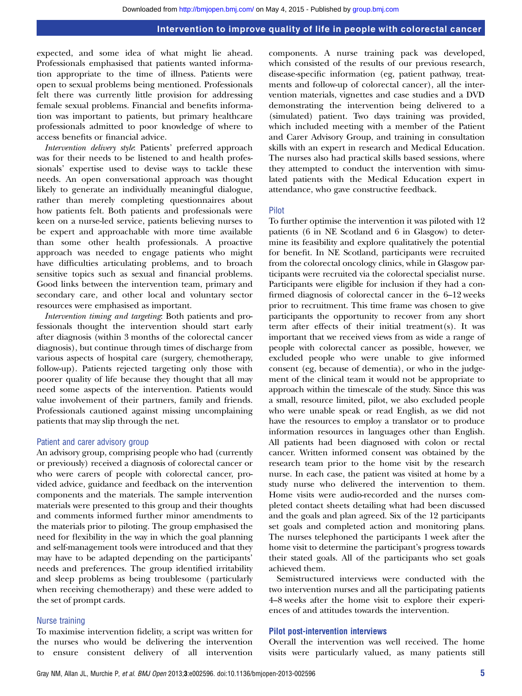expected, and some idea of what might lie ahead. Professionals emphasised that patients wanted information appropriate to the time of illness. Patients were open to sexual problems being mentioned. Professionals felt there was currently little provision for addressing female sexual problems. Financial and benefits information was important to patients, but primary healthcare professionals admitted to poor knowledge of where to access benefits or financial advice.

Intervention delivery style: Patients' preferred approach was for their needs to be listened to and health professionals' expertise used to devise ways to tackle these needs. An open conversational approach was thought likely to generate an individually meaningful dialogue, rather than merely completing questionnaires about how patients felt. Both patients and professionals were keen on a nurse-led service, patients believing nurses to be expert and approachable with more time available than some other health professionals. A proactive approach was needed to engage patients who might have difficulties articulating problems, and to broach sensitive topics such as sexual and financial problems. Good links between the intervention team, primary and secondary care, and other local and voluntary sector resources were emphasised as important.

Intervention timing and targeting: Both patients and professionals thought the intervention should start early after diagnosis (within 3 months of the colorectal cancer diagnosis), but continue through times of discharge from various aspects of hospital care (surgery, chemotherapy, follow-up). Patients rejected targeting only those with poorer quality of life because they thought that all may need some aspects of the intervention. Patients would value involvement of their partners, family and friends. Professionals cautioned against missing uncomplaining patients that may slip through the net.

#### Patient and carer advisory group

An advisory group, comprising people who had (currently or previously) received a diagnosis of colorectal cancer or who were carers of people with colorectal cancer, provided advice, guidance and feedback on the intervention components and the materials. The sample intervention materials were presented to this group and their thoughts and comments informed further minor amendments to the materials prior to piloting. The group emphasised the need for flexibility in the way in which the goal planning and self-management tools were introduced and that they may have to be adapted depending on the participants' needs and preferences. The group identified irritability and sleep problems as being troublesome (particularly when receiving chemotherapy) and these were added to the set of prompt cards.

#### Nurse training

To maximise intervention fidelity, a script was written for the nurses who would be delivering the intervention to ensure consistent delivery of all intervention

components. A nurse training pack was developed, which consisted of the results of our previous research, disease-specific information (eg, patient pathway, treatments and follow-up of colorectal cancer), all the intervention materials, vignettes and case studies and a DVD demonstrating the intervention being delivered to a (simulated) patient. Two days training was provided, which included meeting with a member of the Patient and Carer Advisory Group, and training in consultation skills with an expert in research and Medical Education. The nurses also had practical skills based sessions, where they attempted to conduct the intervention with simulated patients with the Medical Education expert in attendance, who gave constructive feedback.

#### Pilot

To further optimise the intervention it was piloted with 12 patients (6 in NE Scotland and 6 in Glasgow) to determine its feasibility and explore qualitatively the potential for benefit. In NE Scotland, participants were recruited from the colorectal oncology clinics, while in Glasgow participants were recruited via the colorectal specialist nurse. Participants were eligible for inclusion if they had a confirmed diagnosis of colorectal cancer in the 6–12 weeks prior to recruitment. This time frame was chosen to give participants the opportunity to recover from any short term after effects of their initial treatment(s). It was important that we received views from as wide a range of people with colorectal cancer as possible, however, we excluded people who were unable to give informed consent (eg, because of dementia), or who in the judgement of the clinical team it would not be appropriate to approach within the timescale of the study. Since this was a small, resource limited, pilot, we also excluded people who were unable speak or read English, as we did not have the resources to employ a translator or to produce information resources in languages other than English. All patients had been diagnosed with colon or rectal cancer. Written informed consent was obtained by the research team prior to the home visit by the research nurse. In each case, the patient was visited at home by a study nurse who delivered the intervention to them. Home visits were audio-recorded and the nurses completed contact sheets detailing what had been discussed and the goals and plan agreed. Six of the 12 participants set goals and completed action and monitoring plans. The nurses telephoned the participants 1 week after the home visit to determine the participant's progress towards their stated goals. All of the participants who set goals achieved them.

Semistructured interviews were conducted with the two intervention nurses and all the participating patients 4–8 weeks after the home visit to explore their experiences of and attitudes towards the intervention.

#### Pilot post-intervention interviews

Overall the intervention was well received. The home visits were particularly valued, as many patients still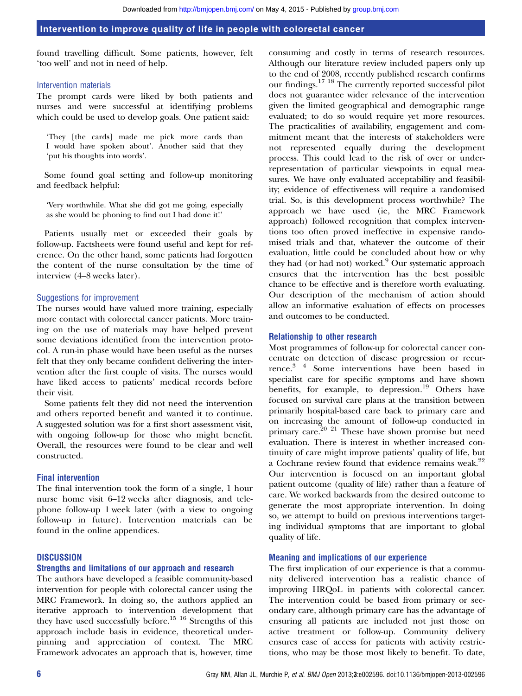found travelling difficult. Some patients, however, felt 'too well' and not in need of help.

#### Intervention materials

The prompt cards were liked by both patients and nurses and were successful at identifying problems which could be used to develop goals. One patient said:

'They [the cards] made me pick more cards than I would have spoken about'. Another said that they 'put his thoughts into words'.

Some found goal setting and follow-up monitoring and feedback helpful:

'Very worthwhile. What she did got me going, especially as she would be phoning to find out I had done it!'

Patients usually met or exceeded their goals by follow-up. Factsheets were found useful and kept for reference. On the other hand, some patients had forgotten the content of the nurse consultation by the time of interview (4–8 weeks later).

## Suggestions for improvement

The nurses would have valued more training, especially more contact with colorectal cancer patients. More training on the use of materials may have helped prevent some deviations identified from the intervention protocol. A run-in phase would have been useful as the nurses felt that they only became confident delivering the intervention after the first couple of visits. The nurses would have liked access to patients' medical records before their visit.

Some patients felt they did not need the intervention and others reported benefit and wanted it to continue. A suggested solution was for a first short assessment visit, with ongoing follow-up for those who might benefit. Overall, the resources were found to be clear and well constructed.

## Final intervention

The final intervention took the form of a single, 1 hour nurse home visit 6–12 weeks after diagnosis, and telephone follow-up 1 week later (with a view to ongoing follow-up in future). Intervention materials can be found in the online appendices.

### **DISCUSSION**

#### Strengths and limitations of our approach and research

The authors have developed a feasible community-based intervention for people with colorectal cancer using the MRC Framework. In doing so, the authors applied an iterative approach to intervention development that they have used successfully before.<sup>15 16</sup> Strengths of this approach include basis in evidence, theoretical underpinning and appreciation of context. The MRC Framework advocates an approach that is, however, time

consuming and costly in terms of research resources. Although our literature review included papers only up to the end of 2008, recently published research confirms our findings.17 18 The currently reported successful pilot does not guarantee wider relevance of the intervention given the limited geographical and demographic range evaluated; to do so would require yet more resources. The practicalities of availability, engagement and commitment meant that the interests of stakeholders were not represented equally during the development process. This could lead to the risk of over or underrepresentation of particular viewpoints in equal measures. We have only evaluated acceptability and feasibility; evidence of effectiveness will require a randomised trial. So, is this development process worthwhile? The approach we have used (ie, the MRC Framework approach) followed recognition that complex interventions too often proved ineffective in expensive randomised trials and that, whatever the outcome of their evaluation, little could be concluded about how or why they had (or had not) worked.<sup>9</sup> Our systematic approach ensures that the intervention has the best possible chance to be effective and is therefore worth evaluating. Our description of the mechanism of action should allow an informative evaluation of effects on processes and outcomes to be conducted.

## Relationship to other research

Most programmes of follow-up for colorectal cancer concentrate on detection of disease progression or recurrence.3 4 Some interventions have been based in specialist care for specific symptoms and have shown benefits, for example, to depression.<sup>19</sup> Others have focused on survival care plans at the transition between primarily hospital-based care back to primary care and on increasing the amount of follow-up conducted in primary care. $20\frac{21}{10}$  These have shown promise but need evaluation. There is interest in whether increased continuity of care might improve patients' quality of life, but a Cochrane review found that evidence remains weak.<sup>22</sup> Our intervention is focused on an important global patient outcome (quality of life) rather than a feature of care. We worked backwards from the desired outcome to generate the most appropriate intervention. In doing so, we attempt to build on previous interventions targeting individual symptoms that are important to global quality of life.

#### Meaning and implications of our experience

The first implication of our experience is that a community delivered intervention has a realistic chance of improving HRQoL in patients with colorectal cancer. The intervention could be based from primary or secondary care, although primary care has the advantage of ensuring all patients are included not just those on active treatment or follow-up. Community delivery ensures ease of access for patients with activity restrictions, who may be those most likely to benefit. To date,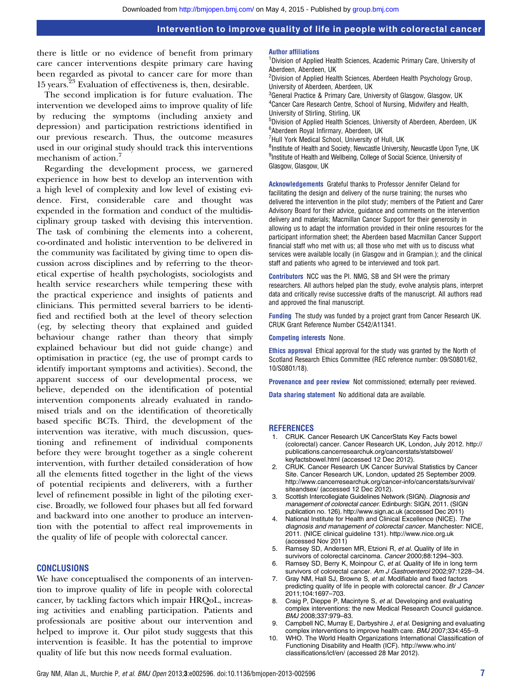there is little or no evidence of benefit from primary care cancer interventions despite primary care having been regarded as pivotal to cancer care for more than 15 years.<sup>23</sup> Evaluation of effectiveness is, then, desirable.

The second implication is for future evaluation. The intervention we developed aims to improve quality of life by reducing the symptoms (including anxiety and depression) and participation restrictions identified in our previous research. Thus, the outcome measures used in our original study should track this interventions mechanism of action.7

Regarding the development process, we garnered experience in how best to develop an intervention with a high level of complexity and low level of existing evidence. First, considerable care and thought was expended in the formation and conduct of the multidisciplinary group tasked with devising this intervention. The task of combining the elements into a coherent, co-ordinated and holistic intervention to be delivered in the community was facilitated by giving time to open discussion across disciplines and by referring to the theoretical expertise of health psychologists, sociologists and health service researchers while tempering these with the practical experience and insights of patients and clinicians. This permitted several barriers to be identified and rectified both at the level of theory selection (eg, by selecting theory that explained and guided behaviour change rather than theory that simply explained behaviour but did not guide change) and optimisation in practice (eg, the use of prompt cards to identify important symptoms and activities). Second, the apparent success of our developmental process, we believe, depended on the identification of potential intervention components already evaluated in randomised trials and on the identification of theoretically based specific BCTs. Third, the development of the intervention was iterative, with much discussion, questioning and refinement of individual components before they were brought together as a single coherent intervention, with further detailed consideration of how all the elements fitted together in the light of the views of potential recipients and deliverers, with a further level of refinement possible in light of the piloting exercise. Broadly, we followed four phases but all fed forward and backward into one another to produce an intervention with the potential to affect real improvements in the quality of life of people with colorectal cancer.

## **CONCLUSIONS**

We have conceptualised the components of an intervention to improve quality of life in people with colorectal cancer, by tackling factors which impair HRQoL, increasing activities and enabling participation. Patients and professionals are positive about our intervention and helped to improve it. Our pilot study suggests that this intervention is feasible. It has the potential to improve quality of life but this now needs formal evaluation.

#### Author affiliations

<sup>1</sup>Division of Applied Health Sciences, Academic Primary Care, University of Aberdeen, Aberdeen, UK

<sup>2</sup>Division of Applied Health Sciences, Aberdeen Health Psychology Group, University of Aberdeen, Aberdeen, UK

<sup>3</sup>General Practice & Primary Care, University of Glasgow, Glasgow, UK 4 Cancer Care Research Centre, School of Nursing, Midwifery and Health, University of Stirling, Stirling, UK

5 Division of Applied Health Sciences, University of Aberdeen, Aberdeen, UK 6 Aberdeen Royal Infirmary, Aberdeen, UK

<sup>7</sup>Hull York Medical School, University of Hull, UK

<sup>8</sup>Institute of Health and Society, Newcastle University, Newcastle Upon Tyne, UK <sup>9</sup>Institute of Health and Wellbeing, College of Social Science, University of Glasgow, Glasgow, UK

Acknowledgements Grateful thanks to Professor Jennifer Cleland for facilitating the design and delivery of the nurse training; the nurses who delivered the intervention in the pilot study; members of the Patient and Carer Advisory Board for their advice, guidance and comments on the intervention delivery and materials; Macmillan Cancer Support for their generosity in allowing us to adapt the information provided in their online resources for the participant information sheet; the Aberdeen based Macmillan Cancer Support financial staff who met with us; all those who met with us to discuss what services were available locally (in Glasgow and in Grampian.); and the clinical staff and patients who agreed to be interviewed and took part.

Contributors NCC was the PI. NMG, SB and SH were the primary researchers. All authors helped plan the study, evolve analysis plans, interpret data and critically revise successive drafts of the manuscript. All authors read and approved the final manuscript.

Funding The study was funded by a project grant from Cancer Research UK. CRUK Grant Reference Number C542/A11341.

Competing interests None.

Ethics approval Ethical approval for the study was granted by the North of Scotland Research Ethics Committee (REC reference number: 09/S0801/62, 10/S0801/18).

Provenance and peer review Not commissioned; externally peer reviewed.

Data sharing statement No additional data are available.

#### **REFERENCES**

- 1. CRUK. Cancer Research UK CancerStats Key Facts bowel (colorectal) cancer. Cancer Research UK, London, July 2012. [http://](http://publications.cancerresearchuk.org/cancerstats/statsbowel/keyfactsbowel.html) [publications.cancerresearchuk.org/cancerstats/statsbowel/](http://publications.cancerresearchuk.org/cancerstats/statsbowel/keyfactsbowel.html) [keyfactsbowel.html](http://publications.cancerresearchuk.org/cancerstats/statsbowel/keyfactsbowel.html) (accessed 12 Dec 2012).
- 2. CRUK. Cancer Research UK Cancer Survival Statistics by Cancer Site. Cancer Research UK, London, updated 25 September 2009. [http://www.cancerresearchuk.org/cancer-info/cancerstats/survival/](http://www.cancerresearchuk.org/cancer-info/cancerstats/survival/siteandsex/) [siteandsex/](http://www.cancerresearchuk.org/cancer-info/cancerstats/survival/siteandsex/) (accessed 12 Dec 2012).
- 3. Scottish Intercollegiate Guidelines Network (SIGN). Diagnosis and management of colorectal cancer. Edinburgh: SIGN, 2011. (SIGN publication no. 126).<http://www.sign.ac.uk> (accessed Dec 2011)
- 4. National Institute for Health and Clinical Excellence (NICE). The diagnosis and management of colorectal cancer. Manchester: NICE, 2011. (NICE clinical guideline 131).<http://www.nice.org.uk> (accessed Nov 2011)
- 5. Ramsey SD, Andersen MR, Etzioni R, et al. Quality of life in survivors of colorectal carcinoma. Cancer 2000;88:1294–303.
- 6. Ramsey SD, Berry K, Moinpour C, et al. Quality of life in long term survivors of colorectal cancer. Am J Gastroenterol 2002;97:1228–34.
- 7. Gray NM, Hall SJ, Browne S, et al. Modifiable and fixed factors predicting quality of life in people with colorectal cancer. Br J Cancer 2011;104:1697–703.
- 8. Craig P, Dieppe P, Macintyre S, et al. Developing and evaluating complex interventions: the new Medical Research Council guidance. BMJ 2008;337:979–83.
- 9. Campbell NC, Murray E, Darbyshire J, et al. Designing and evaluating complex interventions to improve health care. BMJ 2007;334:455–9.
- 10. WHO. The World Health Organizations International Classification of Functioning Disability and Health (ICF). [http://www.who.int/](http://www.who.int/classifications/icf/en/) [classifications/icf/en/](http://www.who.int/classifications/icf/en/) (accessed 28 Mar 2012).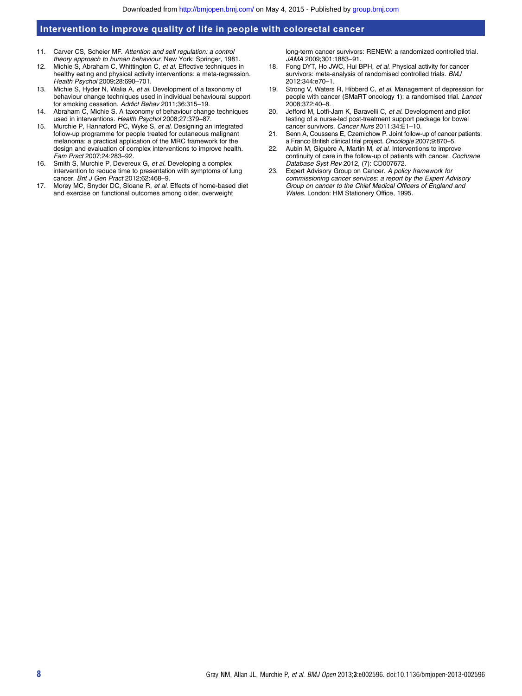- 11. Carver CS, Scheier MF. Attention and self regulation: a control theory approach to human behaviour. New York: Springer, 1981.
- 12. Michie S, Abraham C, Whittington C, et al. Effective techniques in healthy eating and physical activity interventions: a meta-regression. Health Psychol 2009;28:690–701.
- 13. Michie S, Hyder N, Walia A, et al. Development of a taxonomy of behaviour change techniques used in individual behavioural support for smoking cessation. Addict Behav 2011;36:315–19.
- 14. Abraham C, Michie S. A taxonomy of behaviour change techniques used in interventions. Health Psychol 2008;27:379–87.
- 15. Murchie P, Hannaford PC, Wyke S, et al. Designing an integrated follow-up programme for people treated for cutaneous malignant melanoma: a practical application of the MRC framework for the design and evaluation of complex interventions to improve health. Fam Pract 2007;24:283–92.
- 16. Smith S, Murchie P, Devereux G, et al. Developing a complex intervention to reduce time to presentation with symptoms of lung cancer. Brit J Gen Pract 2012;62:468–9.
- 17. Morey MC, Snyder DC, Sloane R, et al. Effects of home-based diet and exercise on functional outcomes among older, overweight

long-term cancer survivors: RENEW: a randomized controlled trial. JAMA 2009;301:1883–91.

- 18. Fong DYT, Ho JWC, Hui BPH, et al. Physical activity for cancer survivors: meta-analysis of randomised controlled trials. BMJ 2012;344:e70–1.
- 19. Strong V, Waters R, Hibberd C, et al. Management of depression for people with cancer (SMaRT oncology 1): a randomised trial. Lancet 2008;372:40–8.
- 20. Jefford M, Lotfi-Jam K, Baravelli C, et al. Development and pilot testing of a nurse-led post-treatment support package for bowel cancer survivors. Cancer Nurs 2011;34:E1–10.
- 21. Senn A, Coussens E, Czernichow P. Joint follow-up of cancer patients: a Franco British clinical trial project. Oncologie 2007;9:870–5.
- 22. Aubin M, Giguère A, Martin M, et al. Interventions to improve continuity of care in the follow-up of patients with cancer. Cochrane Database Syst Rev 2012, (7): CD007672.
- 23. Expert Advisory Group on Cancer. A policy framework for commissioning cancer services: a report by the Expert Advisory Group on cancer to the Chief Medical Officers of England and Wales. London: HM Stationery Office, 1995.